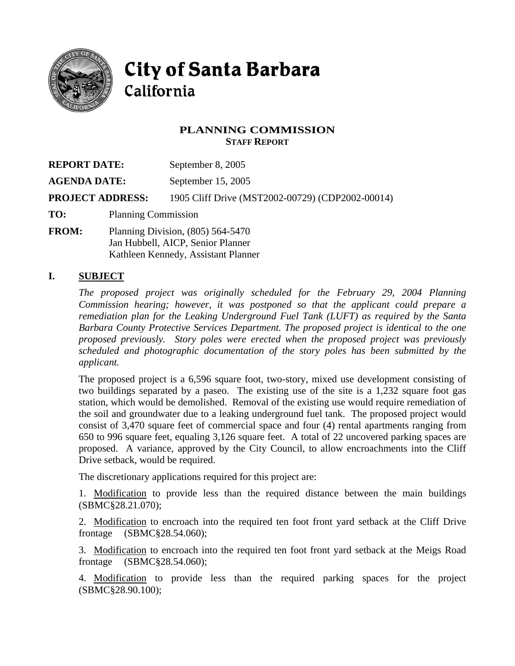

# **City of Santa Barbara** California

### **PLANNING COMMISSION STAFF REPORT**

| <b>REPORT DATE:</b>     |                                     | September 8, 2005                                |
|-------------------------|-------------------------------------|--------------------------------------------------|
| <b>AGENDA DATE:</b>     |                                     | September 15, 2005                               |
| <b>PROJECT ADDRESS:</b> |                                     | 1905 Cliff Drive (MST2002-00729) (CDP2002-00014) |
| TO:                     | <b>Planning Commission</b>          |                                                  |
| <b>FROM:</b>            | Planning Division, $(805)$ 564-5470 |                                                  |

Jan Hubbell, AICP, Senior Planner Kathleen Kennedy, Assistant Planner

### **I. SUBJECT**

*The proposed project was originally scheduled for the February 29, 2004 Planning Commission hearing; however, it was postponed so that the applicant could prepare a remediation plan for the Leaking Underground Fuel Tank (LUFT) as required by the Santa Barbara County Protective Services Department. The proposed project is identical to the one proposed previously. Story poles were erected when the proposed project was previously scheduled and photographic documentation of the story poles has been submitted by the applicant.* 

The proposed project is a 6,596 square foot, two-story, mixed use development consisting of two buildings separated by a paseo. The existing use of the site is a 1,232 square foot gas station, which would be demolished. Removal of the existing use would require remediation of the soil and groundwater due to a leaking underground fuel tank. The proposed project would consist of 3,470 square feet of commercial space and four (4) rental apartments ranging from 650 to 996 square feet, equaling 3,126 square feet. A total of 22 uncovered parking spaces are proposed. A variance, approved by the City Council, to allow encroachments into the Cliff Drive setback, would be required.

The discretionary applications required for this project are:

1. Modification to provide less than the required distance between the main buildings (SBMC§28.21.070);

2. Modification to encroach into the required ten foot front yard setback at the Cliff Drive frontage (SBMC§28.54.060);

3. Modification to encroach into the required ten foot front yard setback at the Meigs Road frontage (SBMC§28.54.060);

4. Modification to provide less than the required parking spaces for the project (SBMC§28.90.100);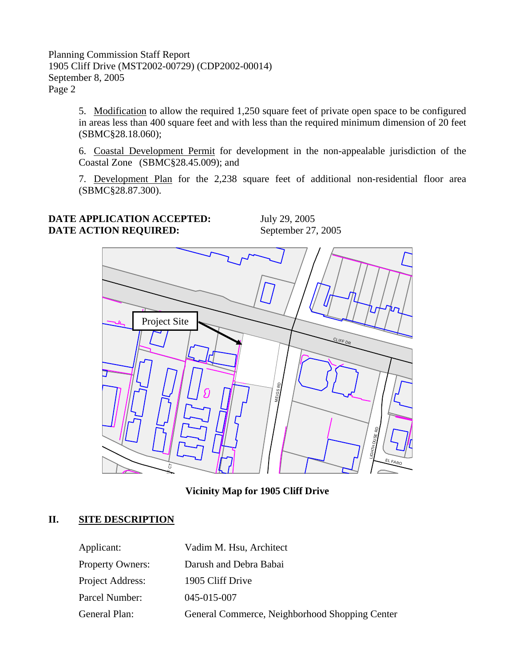> 5. Modification to allow the required 1,250 square feet of private open space to be configured in areas less than 400 square feet and with less than the required minimum dimension of 20 feet (SBMC§28.18.060);

> 6. Coastal Development Permit for development in the non-appealable jurisdiction of the Coastal Zone (SBMC§28.45.009); and

> 7. Development Plan for the 2,238 square feet of additional non-residential floor area (SBMC§28.87.300).

### **DATE APPLICATION ACCEPTED:** July 29, 2005 **DATE ACTION REQUIRED:** September 27, 2005



**Vicinity Map for 1905 Cliff Drive** 

# **II. SITE DESCRIPTION**

| Applicant:              | Vadim M. Hsu, Architect                        |
|-------------------------|------------------------------------------------|
| <b>Property Owners:</b> | Darush and Debra Babai                         |
| Project Address:        | 1905 Cliff Drive                               |
| Parcel Number:          | 045-015-007                                    |
| General Plan:           | General Commerce, Neighborhood Shopping Center |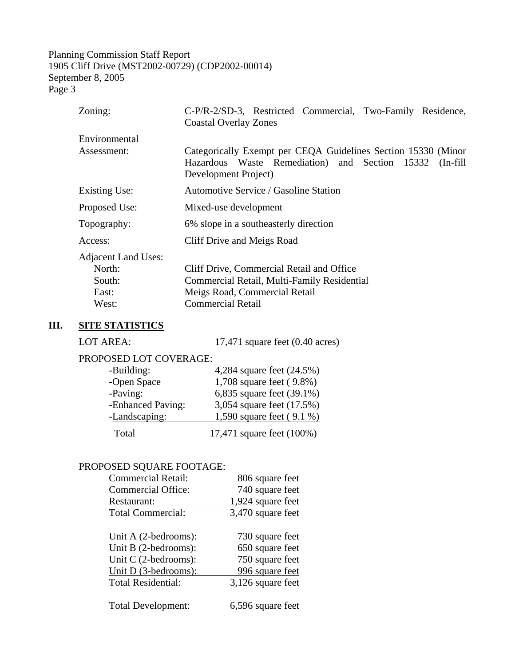| Zoning:                    | C-P/R-2/SD-3, Restricted Commercial, Two-Family Residence,<br><b>Coastal Overlay Zones</b>                                                       |  |
|----------------------------|--------------------------------------------------------------------------------------------------------------------------------------------------|--|
| Environmental              |                                                                                                                                                  |  |
| Assessment:                | Categorically Exempt per CEQA Guidelines Section 15330 (Minor<br>Hazardous Waste Remediation) and Section 15332 (In-fill<br>Development Project) |  |
| Existing Use:              | <b>Automotive Service / Gasoline Station</b>                                                                                                     |  |
| Proposed Use:              | Mixed-use development                                                                                                                            |  |
| Topography:                | 6% slope in a southeasterly direction                                                                                                            |  |
| Access:                    | Cliff Drive and Meigs Road                                                                                                                       |  |
| <b>Adjacent Land Uses:</b> |                                                                                                                                                  |  |
| North:                     | Cliff Drive, Commercial Retail and Office                                                                                                        |  |
| South:                     | Commercial Retail, Multi-Family Residential                                                                                                      |  |
| East:                      | Meigs Road, Commercial Retail                                                                                                                    |  |
| West:                      | <b>Commercial Retail</b>                                                                                                                         |  |

# **III. SITE STATISTICS**

| LOT AREA:              | 17,471 square feet $(0.40 \text{ acres})$ |
|------------------------|-------------------------------------------|
| PROPOSED LOT COVERAGE: |                                           |
| -Building:             | 4,284 square feet (24.5%)                 |
| -Open Space            | 1,708 square feet (9.8%)                  |
| -Paving:               | 6,835 square feet (39.1%)                 |
| -Enhanced Paving:      | 3,054 square feet (17.5%)                 |
| -Landscaping:          | 1,590 square feet (9.1 %)                 |
| Total                  | 17,471 square feet (100%)                 |

### PROPOSED SQUARE FOOTAGE:

| <b>Commercial Retail:</b> | 806 square feet   |
|---------------------------|-------------------|
| <b>Commercial Office:</b> | 740 square feet   |
| Restaurant:               | 1,924 square feet |
| <b>Total Commercial:</b>  | 3,470 square feet |
| Unit A (2-bedrooms):      | 730 square feet   |
| Unit B (2-bedrooms):      | 650 square feet   |
| Unit $C$ (2-bedrooms):    | 750 square feet   |
| Unit D (3-bedrooms):      | 996 square feet   |
| <b>Total Residential:</b> | 3,126 square feet |
| Total Development:        | 6,596 square feet |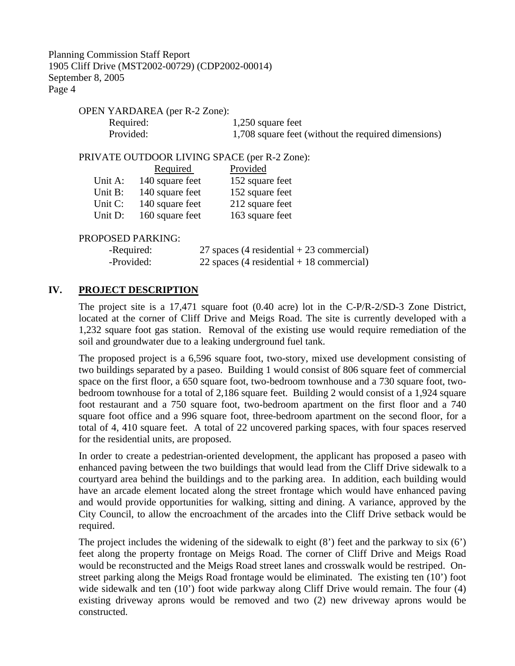OPEN YARDAREA (per R-2 Zone):

Required: 1,250 square feet Provided: 1,708 square feet (without the required dimensions)

#### PRIVATE OUTDOOR LIVING SPACE (per R-2 Zone):

|         | Required        | Provided        |
|---------|-----------------|-----------------|
| Unit A: | 140 square feet | 152 square feet |
| Unit B: | 140 square feet | 152 square feet |
| Unit C: | 140 square feet | 212 square feet |
| Unit D: | 160 square feet | 163 square feet |

#### PROPOSED PARKING:

| -Required: | 27 spaces (4 residential $+$ 23 commercial) |
|------------|---------------------------------------------|
| -Provided: | 22 spaces (4 residential $+$ 18 commercial) |

#### **IV. PROJECT DESCRIPTION**

The project site is a 17,471 square foot (0.40 acre) lot in the C-P/R-2/SD-3 Zone District, located at the corner of Cliff Drive and Meigs Road. The site is currently developed with a 1,232 square foot gas station. Removal of the existing use would require remediation of the soil and groundwater due to a leaking underground fuel tank.

The proposed project is a 6,596 square foot, two-story, mixed use development consisting of two buildings separated by a paseo. Building 1 would consist of 806 square feet of commercial space on the first floor, a 650 square foot, two-bedroom townhouse and a 730 square foot, twobedroom townhouse for a total of 2,186 square feet. Building 2 would consist of a 1,924 square foot restaurant and a 750 square foot, two-bedroom apartment on the first floor and a 740 square foot office and a 996 square foot, three-bedroom apartment on the second floor, for a total of 4, 410 square feet. A total of 22 uncovered parking spaces, with four spaces reserved for the residential units, are proposed.

In order to create a pedestrian-oriented development, the applicant has proposed a paseo with enhanced paving between the two buildings that would lead from the Cliff Drive sidewalk to a courtyard area behind the buildings and to the parking area. In addition, each building would have an arcade element located along the street frontage which would have enhanced paving and would provide opportunities for walking, sitting and dining. A variance, approved by the City Council, to allow the encroachment of the arcades into the Cliff Drive setback would be required.

The project includes the widening of the sidewalk to eight  $(8')$  feet and the parkway to six  $(6')$ feet along the property frontage on Meigs Road. The corner of Cliff Drive and Meigs Road would be reconstructed and the Meigs Road street lanes and crosswalk would be restriped. Onstreet parking along the Meigs Road frontage would be eliminated. The existing ten (10') foot wide sidewalk and ten (10') foot wide parkway along Cliff Drive would remain. The four (4) existing driveway aprons would be removed and two (2) new driveway aprons would be constructed.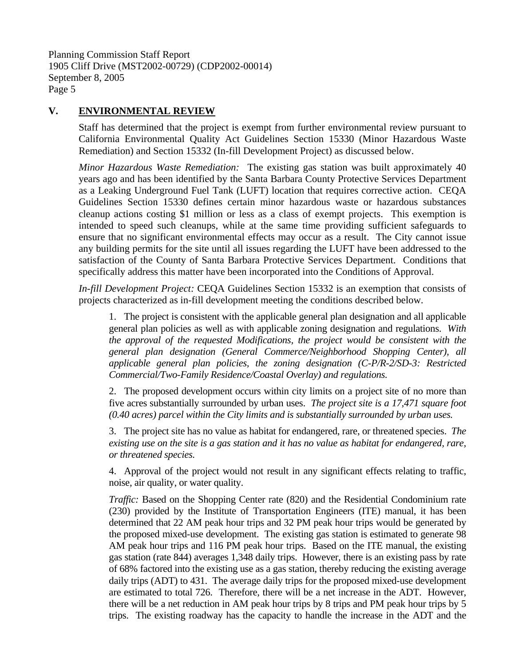### **V. ENVIRONMENTAL REVIEW**

Staff has determined that the project is exempt from further environmental review pursuant to California Environmental Quality Act Guidelines Section 15330 (Minor Hazardous Waste Remediation) and Section 15332 (In-fill Development Project) as discussed below.

*Minor Hazardous Waste Remediation:* The existing gas station was built approximately 40 years ago and has been identified by the Santa Barbara County Protective Services Department as a Leaking Underground Fuel Tank (LUFT) location that requires corrective action. CEQA Guidelines Section 15330 defines certain minor hazardous waste or hazardous substances cleanup actions costing \$1 million or less as a class of exempt projects. This exemption is intended to speed such cleanups, while at the same time providing sufficient safeguards to ensure that no significant environmental effects may occur as a result. The City cannot issue any building permits for the site until all issues regarding the LUFT have been addressed to the satisfaction of the County of Santa Barbara Protective Services Department. Conditions that specifically address this matter have been incorporated into the Conditions of Approval.

*In-fill Development Project:* CEQA Guidelines Section 15332 is an exemption that consists of projects characterized as in-fill development meeting the conditions described below.

1. The project is consistent with the applicable general plan designation and all applicable general plan policies as well as with applicable zoning designation and regulations. *With the approval of the requested Modifications, the project would be consistent with the general plan designation (General Commerce/Neighborhood Shopping Center), all applicable general plan policies, the zoning designation (C-P/R-2/SD-3: Restricted Commercial/Two-Family Residence/Coastal Overlay) and regulations.* 

2. The proposed development occurs within city limits on a project site of no more than five acres substantially surrounded by urban uses. *The project site is a 17,471 square foot (0.40 acres) parcel within the City limits and is substantially surrounded by urban uses.*

3. The project site has no value as habitat for endangered, rare, or threatened species. *The existing use on the site is a gas station and it has no value as habitat for endangered, rare, or threatened species.*

4. Approval of the project would not result in any significant effects relating to traffic, noise, air quality, or water quality.

*Traffic:* Based on the Shopping Center rate (820) and the Residential Condominium rate (230) provided by the Institute of Transportation Engineers (ITE) manual, it has been determined that 22 AM peak hour trips and 32 PM peak hour trips would be generated by the proposed mixed-use development. The existing gas station is estimated to generate 98 AM peak hour trips and 116 PM peak hour trips. Based on the ITE manual, the existing gas station (rate 844) averages 1,348 daily trips. However, there is an existing pass by rate of 68% factored into the existing use as a gas station, thereby reducing the existing average daily trips (ADT) to 431. The average daily trips for the proposed mixed-use development are estimated to total 726. Therefore, there will be a net increase in the ADT. However, there will be a net reduction in AM peak hour trips by 8 trips and PM peak hour trips by 5 trips. The existing roadway has the capacity to handle the increase in the ADT and the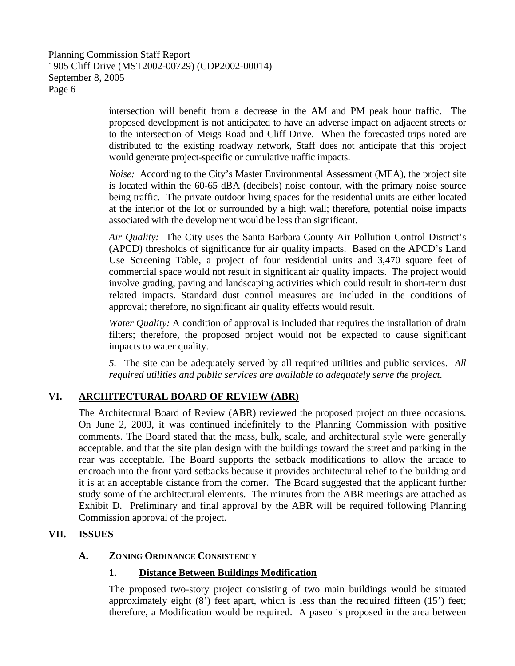intersection will benefit from a decrease in the AM and PM peak hour traffic. The proposed development is not anticipated to have an adverse impact on adjacent streets or to the intersection of Meigs Road and Cliff Drive. When the forecasted trips noted are distributed to the existing roadway network, Staff does not anticipate that this project would generate project-specific or cumulative traffic impacts.

*Noise:* According to the City's Master Environmental Assessment (MEA), the project site is located within the 60-65 dBA (decibels) noise contour, with the primary noise source being traffic. The private outdoor living spaces for the residential units are either located at the interior of the lot or surrounded by a high wall; therefore, potential noise impacts associated with the development would be less than significant.

*Air Quality:* The City uses the Santa Barbara County Air Pollution Control District's (APCD) thresholds of significance for air quality impacts. Based on the APCD's Land Use Screening Table, a project of four residential units and 3,470 square feet of commercial space would not result in significant air quality impacts. The project would involve grading, paving and landscaping activities which could result in short-term dust related impacts. Standard dust control measures are included in the conditions of approval; therefore, no significant air quality effects would result.

*Water Quality:* A condition of approval is included that requires the installation of drain filters; therefore, the proposed project would not be expected to cause significant impacts to water quality.

*5.* The site can be adequately served by all required utilities and public services. *All required utilities and public services are available to adequately serve the project.* 

# **VI. ARCHITECTURAL BOARD OF REVIEW (ABR)**

The Architectural Board of Review (ABR) reviewed the proposed project on three occasions. On June 2, 2003, it was continued indefinitely to the Planning Commission with positive comments. The Board stated that the mass, bulk, scale, and architectural style were generally acceptable, and that the site plan design with the buildings toward the street and parking in the rear was acceptable. The Board supports the setback modifications to allow the arcade to encroach into the front yard setbacks because it provides architectural relief to the building and it is at an acceptable distance from the corner. The Board suggested that the applicant further study some of the architectural elements. The minutes from the ABR meetings are attached as Exhibit D. Preliminary and final approval by the ABR will be required following Planning Commission approval of the project.

### **VII. ISSUES**

### **A. ZONING ORDINANCE CONSISTENCY**

### **1. Distance Between Buildings Modification**

The proposed two-story project consisting of two main buildings would be situated approximately eight (8') feet apart, which is less than the required fifteen (15') feet; therefore, a Modification would be required. A paseo is proposed in the area between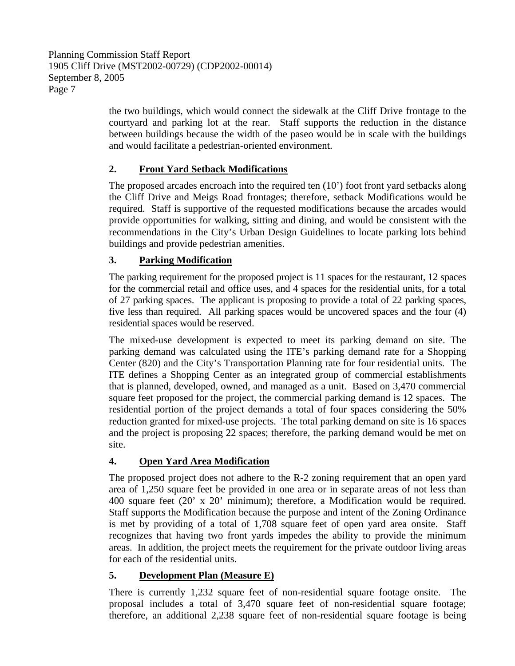the two buildings, which would connect the sidewalk at the Cliff Drive frontage to the courtyard and parking lot at the rear. Staff supports the reduction in the distance between buildings because the width of the paseo would be in scale with the buildings and would facilitate a pedestrian-oriented environment.

# **2. Front Yard Setback Modifications**

The proposed arcades encroach into the required ten (10') foot front yard setbacks along the Cliff Drive and Meigs Road frontages; therefore, setback Modifications would be required. Staff is supportive of the requested modifications because the arcades would provide opportunities for walking, sitting and dining, and would be consistent with the recommendations in the City's Urban Design Guidelines to locate parking lots behind buildings and provide pedestrian amenities.

# **3. Parking Modification**

The parking requirement for the proposed project is 11 spaces for the restaurant, 12 spaces for the commercial retail and office uses, and 4 spaces for the residential units, for a total of 27 parking spaces. The applicant is proposing to provide a total of 22 parking spaces, five less than required. All parking spaces would be uncovered spaces and the four (4) residential spaces would be reserved.

The mixed-use development is expected to meet its parking demand on site. The parking demand was calculated using the ITE's parking demand rate for a Shopping Center (820) and the City's Transportation Planning rate for four residential units. The ITE defines a Shopping Center as an integrated group of commercial establishments that is planned, developed, owned, and managed as a unit. Based on 3,470 commercial square feet proposed for the project, the commercial parking demand is 12 spaces. The residential portion of the project demands a total of four spaces considering the 50% reduction granted for mixed-use projects. The total parking demand on site is 16 spaces and the project is proposing 22 spaces; therefore, the parking demand would be met on site.

# **4. Open Yard Area Modification**

The proposed project does not adhere to the R-2 zoning requirement that an open yard area of 1,250 square feet be provided in one area or in separate areas of not less than 400 square feet (20' x 20' minimum); therefore, a Modification would be required. Staff supports the Modification because the purpose and intent of the Zoning Ordinance is met by providing of a total of 1,708 square feet of open yard area onsite. Staff recognizes that having two front yards impedes the ability to provide the minimum areas. In addition, the project meets the requirement for the private outdoor living areas for each of the residential units.

# **5. Development Plan (Measure E)**

There is currently 1,232 square feet of non-residential square footage onsite. The proposal includes a total of 3,470 square feet of non-residential square footage; therefore, an additional 2,238 square feet of non-residential square footage is being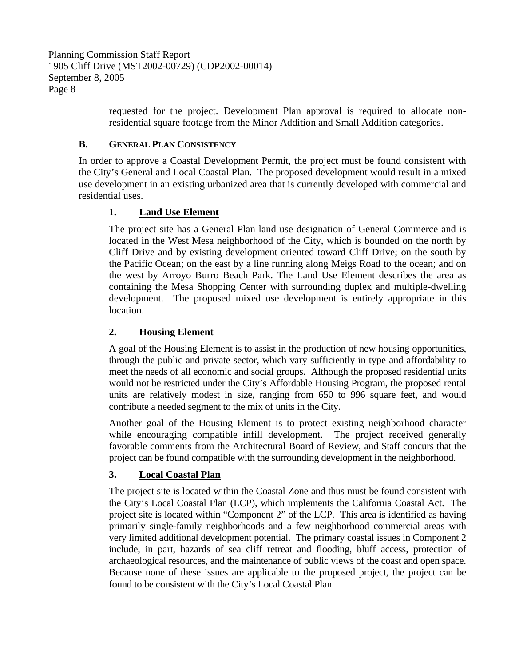> requested for the project. Development Plan approval is required to allocate nonresidential square footage from the Minor Addition and Small Addition categories.

### **B. GENERAL PLAN CONSISTENCY**

In order to approve a Coastal Development Permit, the project must be found consistent with the City's General and Local Coastal Plan. The proposed development would result in a mixed use development in an existing urbanized area that is currently developed with commercial and residential uses.

### **1. Land Use Element**

The project site has a General Plan land use designation of General Commerce and is located in the West Mesa neighborhood of the City, which is bounded on the north by Cliff Drive and by existing development oriented toward Cliff Drive; on the south by the Pacific Ocean; on the east by a line running along Meigs Road to the ocean; and on the west by Arroyo Burro Beach Park. The Land Use Element describes the area as containing the Mesa Shopping Center with surrounding duplex and multiple-dwelling development. The proposed mixed use development is entirely appropriate in this location.

# **2. Housing Element**

A goal of the Housing Element is to assist in the production of new housing opportunities, through the public and private sector, which vary sufficiently in type and affordability to meet the needs of all economic and social groups. Although the proposed residential units would not be restricted under the City's Affordable Housing Program, the proposed rental units are relatively modest in size, ranging from 650 to 996 square feet, and would contribute a needed segment to the mix of units in the City.

Another goal of the Housing Element is to protect existing neighborhood character while encouraging compatible infill development. The project received generally favorable comments from the Architectural Board of Review, and Staff concurs that the project can be found compatible with the surrounding development in the neighborhood.

# **3. Local Coastal Plan**

The project site is located within the Coastal Zone and thus must be found consistent with the City's Local Coastal Plan (LCP), which implements the California Coastal Act. The project site is located within "Component 2" of the LCP. This area is identified as having primarily single-family neighborhoods and a few neighborhood commercial areas with very limited additional development potential. The primary coastal issues in Component 2 include, in part, hazards of sea cliff retreat and flooding, bluff access, protection of archaeological resources, and the maintenance of public views of the coast and open space. Because none of these issues are applicable to the proposed project, the project can be found to be consistent with the City's Local Coastal Plan.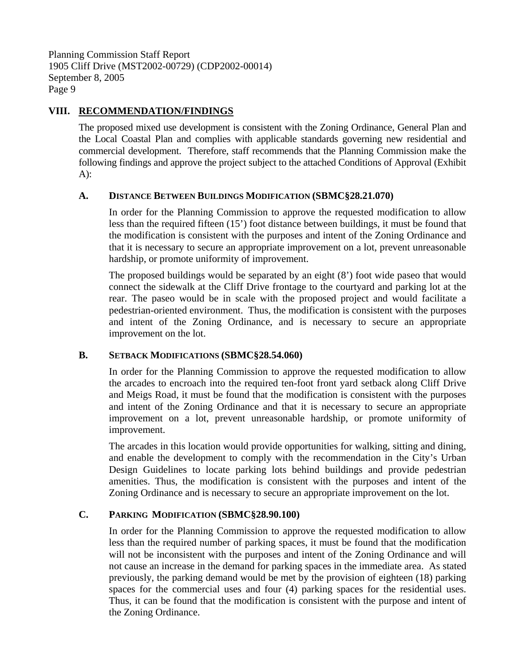### **VIII. RECOMMENDATION/FINDINGS**

The proposed mixed use development is consistent with the Zoning Ordinance, General Plan and the Local Coastal Plan and complies with applicable standards governing new residential and commercial development. Therefore, staff recommends that the Planning Commission make the following findings and approve the project subject to the attached Conditions of Approval (Exhibit A):

#### **A. DISTANCE BETWEEN BUILDINGS MODIFICATION (SBMC§28.21.070)**

In order for the Planning Commission to approve the requested modification to allow less than the required fifteen (15') foot distance between buildings, it must be found that the modification is consistent with the purposes and intent of the Zoning Ordinance and that it is necessary to secure an appropriate improvement on a lot, prevent unreasonable hardship, or promote uniformity of improvement.

The proposed buildings would be separated by an eight (8') foot wide paseo that would connect the sidewalk at the Cliff Drive frontage to the courtyard and parking lot at the rear. The paseo would be in scale with the proposed project and would facilitate a pedestrian-oriented environment. Thus, the modification is consistent with the purposes and intent of the Zoning Ordinance, and is necessary to secure an appropriate improvement on the lot.

#### **B. SETBACK MODIFICATIONS (SBMC§28.54.060)**

In order for the Planning Commission to approve the requested modification to allow the arcades to encroach into the required ten-foot front yard setback along Cliff Drive and Meigs Road, it must be found that the modification is consistent with the purposes and intent of the Zoning Ordinance and that it is necessary to secure an appropriate improvement on a lot, prevent unreasonable hardship, or promote uniformity of improvement.

The arcades in this location would provide opportunities for walking, sitting and dining, and enable the development to comply with the recommendation in the City's Urban Design Guidelines to locate parking lots behind buildings and provide pedestrian amenities. Thus, the modification is consistent with the purposes and intent of the Zoning Ordinance and is necessary to secure an appropriate improvement on the lot.

#### **C. PARKING MODIFICATION (SBMC§28.90.100)**

In order for the Planning Commission to approve the requested modification to allow less than the required number of parking spaces, it must be found that the modification will not be inconsistent with the purposes and intent of the Zoning Ordinance and will not cause an increase in the demand for parking spaces in the immediate area. As stated previously, the parking demand would be met by the provision of eighteen (18) parking spaces for the commercial uses and four (4) parking spaces for the residential uses. Thus, it can be found that the modification is consistent with the purpose and intent of the Zoning Ordinance.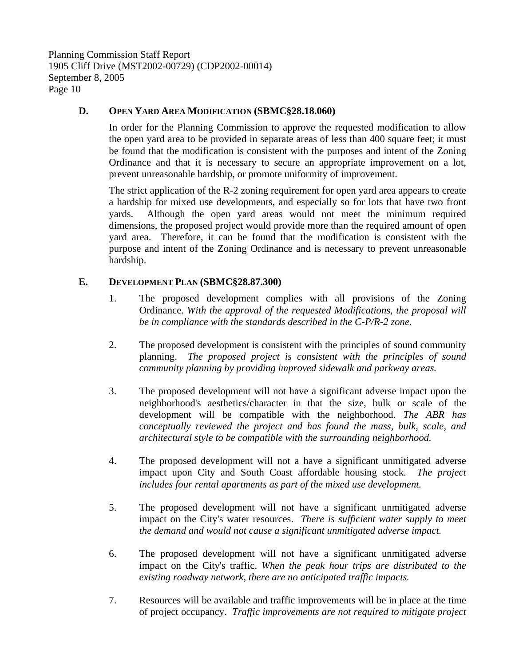### **D. OPEN YARD AREA MODIFICATION (SBMC§28.18.060)**

In order for the Planning Commission to approve the requested modification to allow the open yard area to be provided in separate areas of less than 400 square feet; it must be found that the modification is consistent with the purposes and intent of the Zoning Ordinance and that it is necessary to secure an appropriate improvement on a lot, prevent unreasonable hardship, or promote uniformity of improvement.

The strict application of the R-2 zoning requirement for open yard area appears to create a hardship for mixed use developments, and especially so for lots that have two front yards. Although the open yard areas would not meet the minimum required dimensions, the proposed project would provide more than the required amount of open yard area. Therefore, it can be found that the modification is consistent with the purpose and intent of the Zoning Ordinance and is necessary to prevent unreasonable hardship.

#### **E. DEVELOPMENT PLAN (SBMC§28.87.300)**

- 1. The proposed development complies with all provisions of the Zoning Ordinance. *With the approval of the requested Modifications, the proposal will be in compliance with the standards described in the C-P/R-2 zone.*
- 2. The proposed development is consistent with the principles of sound community planning. *The proposed project is consistent with the principles of sound community planning by providing improved sidewalk and parkway areas.*
- 3. The proposed development will not have a significant adverse impact upon the neighborhood's aesthetics/character in that the size, bulk or scale of the development will be compatible with the neighborhood. *The ABR has conceptually reviewed the project and has found the mass, bulk, scale, and architectural style to be compatible with the surrounding neighborhood.*
- 4. The proposed development will not a have a significant unmitigated adverse impact upon City and South Coast affordable housing stock. *The project includes four rental apartments as part of the mixed use development.*
- 5. The proposed development will not have a significant unmitigated adverse impact on the City's water resources. *There is sufficient water supply to meet the demand and would not cause a significant unmitigated adverse impact.*
- 6. The proposed development will not have a significant unmitigated adverse impact on the City's traffic. *When the peak hour trips are distributed to the existing roadway network, there are no anticipated traffic impacts.*
- 7. Resources will be available and traffic improvements will be in place at the time of project occupancy. *Traffic improvements are not required to mitigate project*